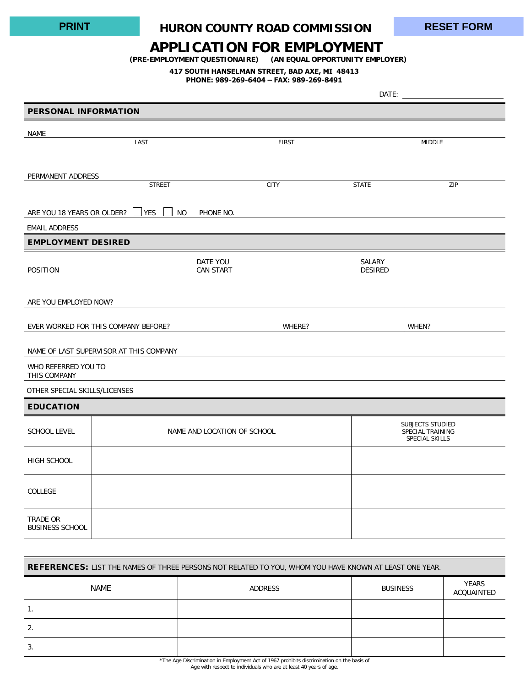## **HURON COUNTY ROAD COMMISSION PRINT RESET FORM**

## **APPLICATION FOR EMPLOYMENT**

**(PRE-EMPLOYMENT QUESTIONAIRE) (AN EQUAL OPPORTUNITY EMPLOYER)**

## **417 SOUTH HANSELMAN STREET, BAD AXE, MI 48413**

**PHONE: 989-269-6404 – FAX: 989-269-8491**

|                                      |                                         | DATE:                       |                |                                    |  |
|--------------------------------------|-----------------------------------------|-----------------------------|----------------|------------------------------------|--|
| <b>PERSONAL INFORMATION</b>          |                                         |                             |                |                                    |  |
| <b>NAME</b>                          |                                         |                             |                |                                    |  |
|                                      | LAST                                    | <b>FIRST</b>                |                | <b>MIDDLE</b>                      |  |
|                                      |                                         |                             |                |                                    |  |
| PERMANENT ADDRESS                    | <b>STREET</b>                           | CITY                        | <b>STATE</b>   | ZIP                                |  |
|                                      |                                         |                             |                |                                    |  |
| ARE YOU 18 YEARS OR OLDER?           | <b>YES</b><br><b>NO</b><br>PHONE NO.    |                             |                |                                    |  |
| <b>EMAIL ADDRESS</b>                 |                                         |                             |                |                                    |  |
| <b>EMPLOYMENT DESIRED</b>            |                                         |                             |                |                                    |  |
|                                      | DATE YOU                                |                             | SALARY         |                                    |  |
| POSITION                             | <b>CAN START</b>                        |                             | <b>DESIRED</b> |                                    |  |
|                                      |                                         |                             |                |                                    |  |
| ARE YOU EMPLOYED NOW?                |                                         |                             |                |                                    |  |
| EVER WORKED FOR THIS COMPANY BEFORE? |                                         | WHERE?                      |                | WHEN?                              |  |
|                                      |                                         |                             |                |                                    |  |
|                                      | NAME OF LAST SUPERVISOR AT THIS COMPANY |                             |                |                                    |  |
| WHO REFERRED YOU TO<br>THIS COMPANY  |                                         |                             |                |                                    |  |
| OTHER SPECIAL SKILLS/LICENSES        |                                         |                             |                |                                    |  |
| <b>EDUCATION</b>                     |                                         |                             |                |                                    |  |
|                                      |                                         |                             |                | SUBJECTS STUDIED                   |  |
| <b>SCHOOL LEVEL</b>                  |                                         | NAME AND LOCATION OF SCHOOL |                | SPECIAL TRAINING<br>SPECIAL SKILLS |  |
| HIGH SCHOOL                          |                                         |                             |                |                                    |  |
|                                      |                                         |                             |                |                                    |  |
| COLLEGE                              |                                         |                             |                |                                    |  |
|                                      |                                         |                             |                |                                    |  |
| TRADE OR<br><b>BUSINESS SCHOOL</b>   |                                         |                             |                |                                    |  |

| <b>REFERENCES: LIST THE NAMES OF THREE PERSONS NOT RELATED TO YOU, WHOM YOU HAVE KNOWN AT LEAST ONE YEAR.</b> |                |                 |                            |  |  |  |  |  |
|---------------------------------------------------------------------------------------------------------------|----------------|-----------------|----------------------------|--|--|--|--|--|
| NAME                                                                                                          | <b>ADDRESS</b> | <b>BUSINESS</b> | <b>YEARS</b><br>ACOUAINTED |  |  |  |  |  |
|                                                                                                               |                |                 |                            |  |  |  |  |  |
|                                                                                                               |                |                 |                            |  |  |  |  |  |
|                                                                                                               |                |                 |                            |  |  |  |  |  |